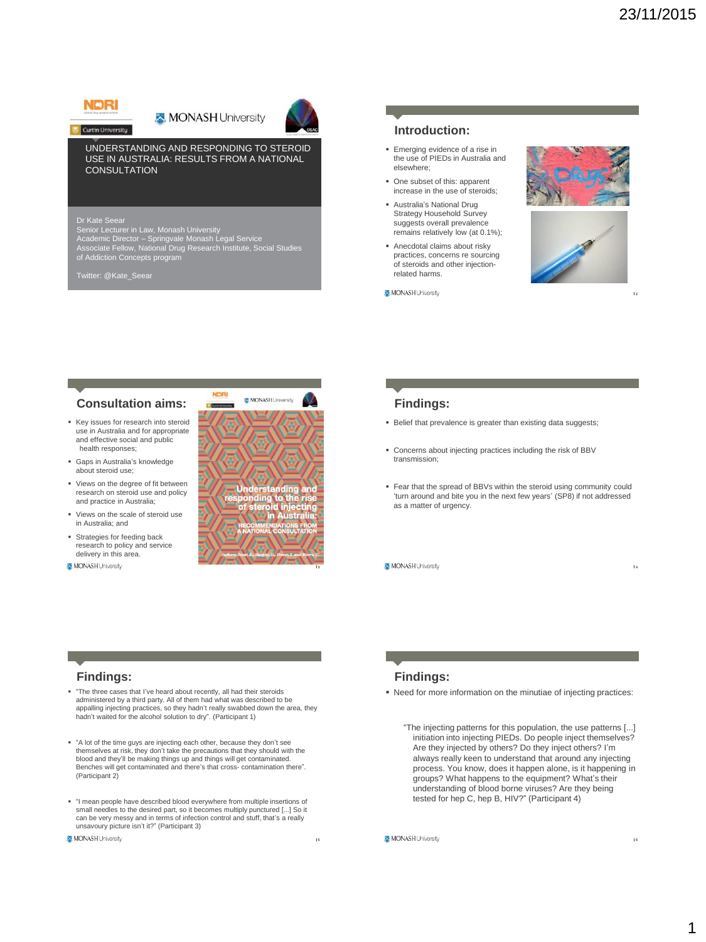# **NDRI Curtin University**

MONASH University



#### UNDERSTANDING AND RESPONDING TO STEROID USE IN AUSTRALIA: RESULTS FROM A NATIONAL **CONSULTATION**

Dr Kate Seear Senior Lecturer in Law, Monash University Academic Director – Springvale Monash Legal Service Associate Fellow, National Drug Research Institute, Social Studies of Addiction Concepts program

Twitter: @Kate\_Seear

#### **Introduction:**

- Emerging evidence of a rise in the use of PIEDs in Australia and elsewhere;
- One subset of this: apparent increase in the use of steroids;
- Australia's National Drug Strategy Household Survey suggests overall prevalence remains relatively low (at 0.1%);
- Anecdotal claims about risky practices, concerns re sourcing of steroids and other injectionrelated harms.
- MONASH University





**2**

**4**

## **Consultation aims:**

- Key issues for research into steroid use in Australia and for appropriate and effective social and public health responses;
- Gaps in Australia's knowledge about steroid use;
- Views on the degree of fit between research on steroid use and policy and practice in Australia;
- Views on the scale of steroid use in Australia; and
- Strategies for feeding back research to policy and service delivery in this area.
- MONASH University



#### **Findings:**

- Belief that prevalence is greater than existing data suggests;
- Concerns about injecting practices including the risk of BBV transmission;
- Fear that the spread of BBVs within the steroid using community could 'turn around and bite you in the next few years' (SP8) if not addressed as a matter of urgency.
- MONASH University

**Findings:**

- "The three cases that I've heard about recently, all had their steroids administered by a third party. All of them had what was described to be appalling injecting practices, so they hadn't really swabbed down the area, they hadn't waited for the alcohol solution to dry". (Participant 1)
- "A lot of the time guys are injecting each other, because they don't see themselves at risk, they don't take the precautions that they should with the blood and they'll be making things up and things will get contaminated. Benches will get contaminated and there's that cross- contamination there". (Participant 2)
- "I mean people have described blood everywhere from multiple insertions of small needles to the desired part, so it becomes multiply punctured [...] So it can be very messy and in terms of infection control and stuff, that's a really unsavoury picture isn't it?" (Participant 3)

MONASH University

**Findings:**

- Need for more information on the minutiae of injecting practices:
	- "The injecting patterns for this population, the use patterns [...] initiation into injecting PIEDs. Do people inject themselves? Are they injected by others? Do they inject others? I'm always really keen to understand that around any injecting process. You know, does it happen alone, is it happening in groups? What happens to the equipment? What's their understanding of blood borne viruses? Are they being tested for hep C, hep B, HIV?" (Participant 4)

MONASH University

**5**

**6**